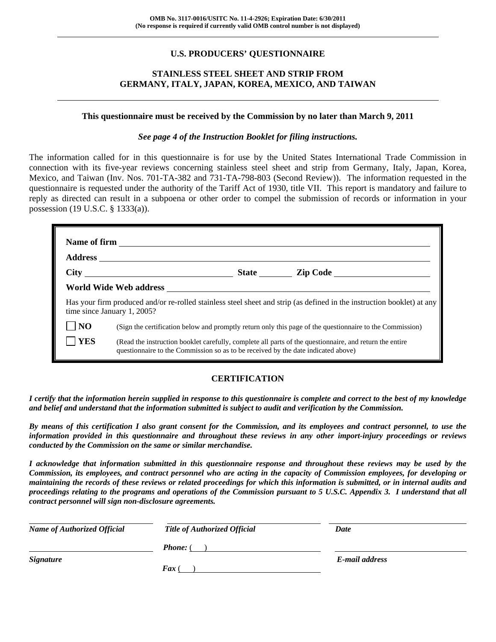# **U.S. PRODUCERS' QUESTIONNAIRE**

# **STAINLESS STEEL SHEET AND STRIP FROM GERMANY, ITALY, JAPAN, KOREA, MEXICO, AND TAIWAN**

#### **This questionnaire must be received by the Commission by no later than March 9, 2011**

#### *See page 4 of the Instruction Booklet for filing instructions.*

The information called for in this questionnaire is for use by the United States International Trade Commission in connection with its five-year reviews concerning stainless steel sheet and strip from Germany, Italy, Japan, Korea, Mexico, and Taiwan (Inv. Nos. 701-TA-382 and 731-TA-798-803 (Second Review)). The information requested in the questionnaire is requested under the authority of the Tariff Act of 1930, title VII. This report is mandatory and failure to reply as directed can result in a subpoena or other order to compel the submission of records or information in your possession (19 U.S.C. § 1333(a)).

|                | Has your firm produced and/or re-rolled stainless steel sheet and strip (as defined in the instruction booklet) at any<br>time since January 1, 2005?                                        |  |
|----------------|----------------------------------------------------------------------------------------------------------------------------------------------------------------------------------------------|--|
| N <sub>O</sub> | (Sign the certification below and promptly return only this page of the questionnaire to the Commission)                                                                                     |  |
| YES            | (Read the instruction booklet carefully, complete all parts of the questionnaire, and return the entire<br>questionnaire to the Commission so as to be received by the date indicated above) |  |

# **CERTIFICATION**

*I certify that the information herein supplied in response to this questionnaire is complete and correct to the best of my knowledge and belief and understand that the information submitted is subject to audit and verification by the Commission.* 

*By means of this certification I also grant consent for the Commission, and its employees and contract personnel, to use the information provided in this questionnaire and throughout these reviews in any other import-injury proceedings or reviews conducted by the Commission on the same or similar merchandise.* 

*I acknowledge that information submitted in this questionnaire response and throughout these reviews may be used by the Commission, its employees, and contract personnel who are acting in the capacity of Commission employees, for developing or maintaining the records of these reviews or related proceedings for which this information is submitted, or in internal audits and proceedings relating to the programs and operations of the Commission pursuant to 5 U.S.C. Appendix 3. I understand that all contract personnel will sign non-disclosure agreements.* 

| <b>Name of Authorized Official</b> | <b>Title of Authorized Official</b> | Date           |
|------------------------------------|-------------------------------------|----------------|
|                                    | <b>Phone:</b> (                     |                |
| <b>Signature</b>                   |                                     | E-mail address |
|                                    | $\boldsymbol{F}$ ax (               |                |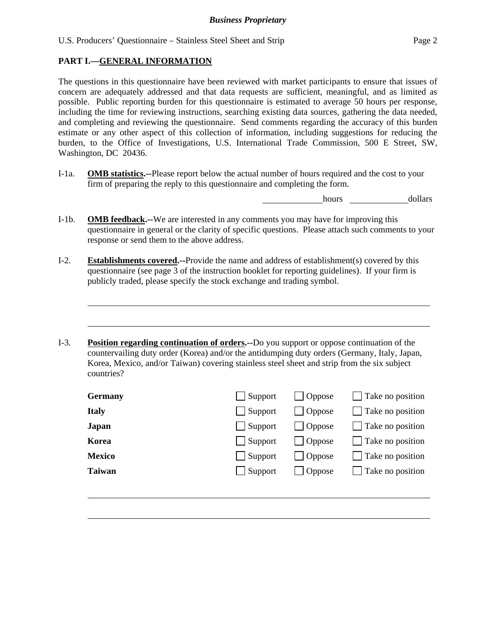# **PART I.—GENERAL INFORMATION**

 $\overline{a}$ 

l

The questions in this questionnaire have been reviewed with market participants to ensure that issues of concern are adequately addressed and that data requests are sufficient, meaningful, and as limited as possible. Public reporting burden for this questionnaire is estimated to average 50 hours per response, including the time for reviewing instructions, searching existing data sources, gathering the data needed, and completing and reviewing the questionnaire. Send comments regarding the accuracy of this burden estimate or any other aspect of this collection of information, including suggestions for reducing the burden, to the Office of Investigations, U.S. International Trade Commission, 500 E Street, SW, Washington, DC 20436.

I-1a. **OMB statistics.--**Please report below the actual number of hours required and the cost to your firm of preparing the reply to this questionnaire and completing the form.

hours dollars

- I-1b. **OMB feedback.--**We are interested in any comments you may have for improving this questionnaire in general or the clarity of specific questions. Please attach such comments to your response or send them to the above address.
- I-2. **Establishments covered.--**Provide the name and address of establishment(s) covered by this questionnaire (see page 3 of the instruction booklet for reporting guidelines). If your firm is publicly traded, please specify the stock exchange and trading symbol.
- I-3. **Position regarding continuation of orders.--**Do you support or oppose continuation of the countervailing duty order (Korea) and/or the antidumping duty orders (Germany, Italy, Japan, Korea, Mexico, and/or Taiwan) covering stainless steel sheet and strip from the six subject countries?

| Germany       | $\Box$ Support | $\Box$ Oppose  | $\Box$ Take no position |
|---------------|----------------|----------------|-------------------------|
| <b>Italy</b>  | $\Box$ Support | $\vert$ Oppose | $\Box$ Take no position |
| Japan         | $\Box$ Support | $\vert$ Oppose | $\Box$ Take no position |
| Korea         | $\Box$ Support | $\vert$ Oppose | $\Box$ Take no position |
| <b>Mexico</b> | $\Box$ Support | $\vert$ Oppose | $\Box$ Take no position |
| Taiwan        | $\Box$ Support | $\Box$ Oppose  | $\Box$ Take no position |
|               |                |                |                         |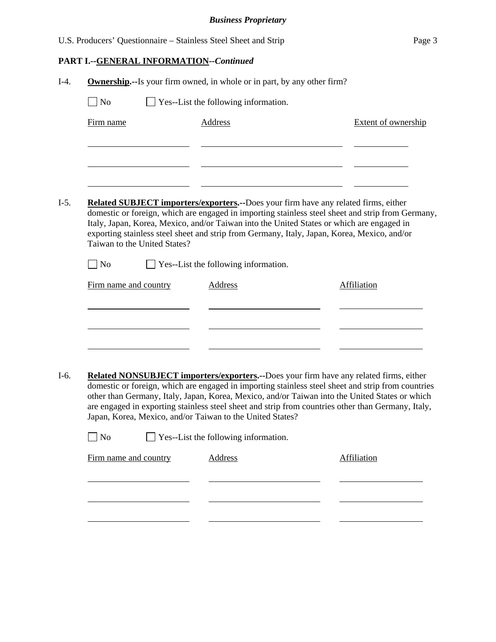|  | <b>PART I.--GENERAL INFORMATION--Continued</b> |
|--|------------------------------------------------|
|  |                                                |

|                   |                              | <b>Ownership.</b> --Is your firm owned, in whole or in part, by any other firm? |                                                                                                                                                                                                                                                                                                                                                                                                      |
|-------------------|------------------------------|---------------------------------------------------------------------------------|------------------------------------------------------------------------------------------------------------------------------------------------------------------------------------------------------------------------------------------------------------------------------------------------------------------------------------------------------------------------------------------------------|
| $\Box$ No         |                              | $\Box$ Yes--List the following information.                                     |                                                                                                                                                                                                                                                                                                                                                                                                      |
| Firm name         |                              | <b>Address</b>                                                                  | <b>Extent of ownership</b>                                                                                                                                                                                                                                                                                                                                                                           |
|                   |                              |                                                                                 |                                                                                                                                                                                                                                                                                                                                                                                                      |
|                   |                              |                                                                                 |                                                                                                                                                                                                                                                                                                                                                                                                      |
|                   |                              |                                                                                 |                                                                                                                                                                                                                                                                                                                                                                                                      |
|                   | Taiwan to the United States? |                                                                                 | <b>Related SUBJECT importers/exporters.--Does your firm have any related firms, either</b><br>domestic or foreign, which are engaged in importing stainless steel sheet and strip from Germany,<br>Italy, Japan, Korea, Mexico, and/or Taiwan into the United States or which are engaged in<br>exporting stainless steel sheet and strip from Germany, Italy, Japan, Korea, Mexico, and/or          |
| $\blacksquare$ No |                              | $\Box$ Yes--List the following information.                                     |                                                                                                                                                                                                                                                                                                                                                                                                      |
|                   | Firm name and country        | Address                                                                         | Affiliation                                                                                                                                                                                                                                                                                                                                                                                          |
|                   |                              |                                                                                 |                                                                                                                                                                                                                                                                                                                                                                                                      |
|                   |                              |                                                                                 |                                                                                                                                                                                                                                                                                                                                                                                                      |
|                   |                              |                                                                                 |                                                                                                                                                                                                                                                                                                                                                                                                      |
|                   |                              |                                                                                 |                                                                                                                                                                                                                                                                                                                                                                                                      |
|                   |                              | Japan, Korea, Mexico, and/or Taiwan to the United States?                       | Related NONSUBJECT importers/exporters.--Does your firm have any related firms, either<br>domestic or foreign, which are engaged in importing stainless steel sheet and strip from countries<br>other than Germany, Italy, Japan, Korea, Mexico, and/or Taiwan into the United States or which<br>are engaged in exporting stainless steel sheet and strip from countries other than Germany, Italy, |
| $\rfloor$ No      |                              | $\Box$ Yes--List the following information.                                     |                                                                                                                                                                                                                                                                                                                                                                                                      |
|                   | Firm name and country        | <b>Address</b>                                                                  | Affiliation                                                                                                                                                                                                                                                                                                                                                                                          |
|                   |                              |                                                                                 |                                                                                                                                                                                                                                                                                                                                                                                                      |
|                   |                              |                                                                                 |                                                                                                                                                                                                                                                                                                                                                                                                      |
|                   |                              |                                                                                 |                                                                                                                                                                                                                                                                                                                                                                                                      |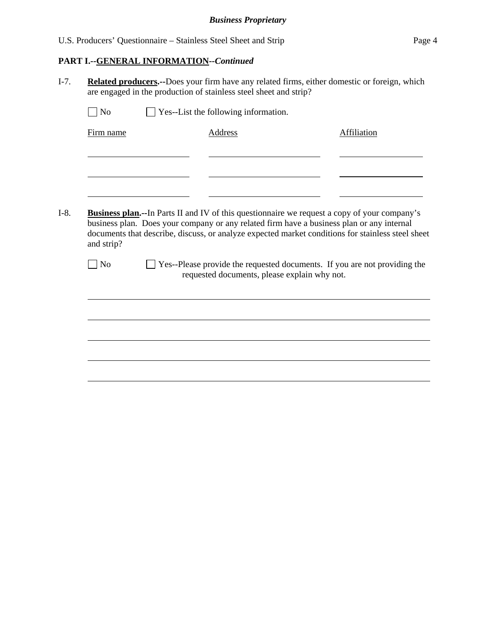# **PART I.--GENERAL INFORMATION***--Continued*

I-7. **Related producers.--**Does your firm have any related firms, either domestic or foreign, which are engaged in the production of stainless steel sheet and strip?

| Firm name<br><b>Address</b><br><b>Affiliation</b><br>and strip?<br>N <sub>0</sub><br>requested documents, please explain why not.                                                                                                                                                                                                                                                  | N <sub>o</sub> | $\Box$ Yes--List the following information. |  |
|------------------------------------------------------------------------------------------------------------------------------------------------------------------------------------------------------------------------------------------------------------------------------------------------------------------------------------------------------------------------------------|----------------|---------------------------------------------|--|
|                                                                                                                                                                                                                                                                                                                                                                                    |                |                                             |  |
|                                                                                                                                                                                                                                                                                                                                                                                    |                |                                             |  |
| <b>Business plan.--In Parts II and IV of this questionnaire we request a copy of your company's</b><br>business plan. Does your company or any related firm have a business plan or any internal<br>documents that describe, discuss, or analyze expected market conditions for stainless steel sheet<br>Yes--Please provide the requested documents. If you are not providing the |                |                                             |  |
|                                                                                                                                                                                                                                                                                                                                                                                    |                |                                             |  |
|                                                                                                                                                                                                                                                                                                                                                                                    |                |                                             |  |
|                                                                                                                                                                                                                                                                                                                                                                                    |                |                                             |  |
|                                                                                                                                                                                                                                                                                                                                                                                    |                |                                             |  |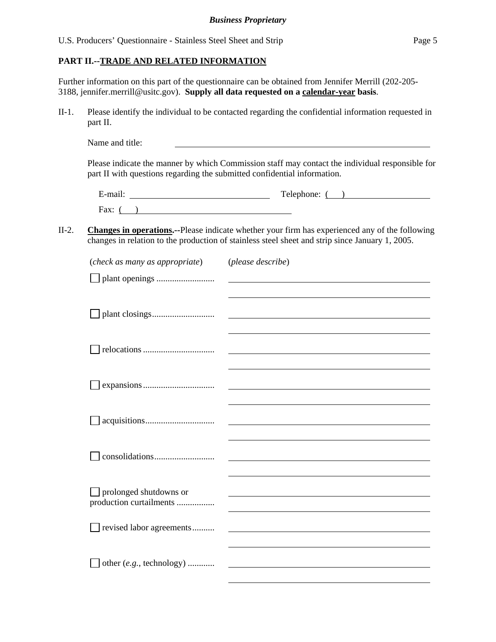### **PART II.--TRADE AND RELATED INFORMATION**

Further information on this part of the questionnaire can be obtained from Jennifer Merrill (202-205- 3188, jennifer.merrill@usitc.gov). **Supply all data requested on a calendar-year basis**.

II-1. Please identify the individual to be contacted regarding the confidential information requested in part II.

Name and title:

Please indicate the manner by which Commission staff may contact the individual responsible for part II with questions regarding the submitted confidential information.

| $\cdot$ $\cdot$ | m          |
|-----------------|------------|
| E-mail.         | Telephone: |
| Fax:            |            |

## II-2. **Changes in operations.--**Please indicate whether your firm has experienced any of the following changes in relation to the production of stainless steel sheet and strip since January 1, 2005.

| (check as many as appropriate)                    | (please describe) |
|---------------------------------------------------|-------------------|
|                                                   |                   |
|                                                   |                   |
|                                                   |                   |
|                                                   |                   |
|                                                   |                   |
|                                                   |                   |
|                                                   |                   |
|                                                   |                   |
|                                                   |                   |
|                                                   |                   |
|                                                   |                   |
|                                                   |                   |
|                                                   |                   |
|                                                   |                   |
| prolonged shutdowns or<br>production curtailments |                   |
|                                                   |                   |
| revised labor agreements                          |                   |
|                                                   |                   |
| other (e.g., technology)                          |                   |
|                                                   |                   |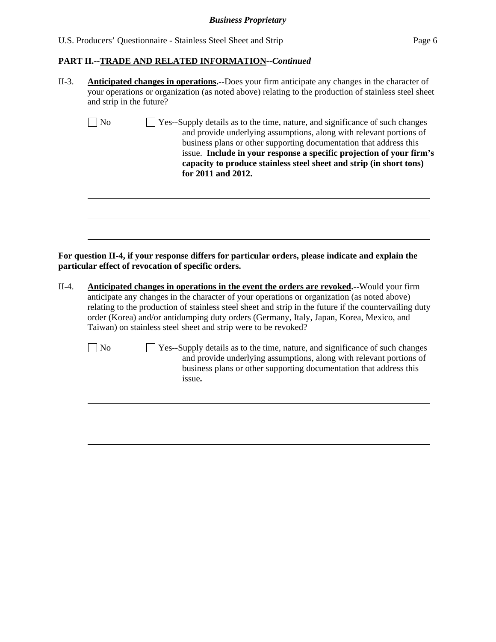## *Business Proprietary*

## **PART II.--TRADE AND RELATED INFORMATION***--Continued*

| II-3. | <b>Anticipated changes in operations.</b> --Does your firm anticipate any changes in the character of |
|-------|-------------------------------------------------------------------------------------------------------|
|       | your operations or organization (as noted above) relating to the production of stainless steel sheet  |
|       | and strip in the future?                                                                              |

| $\vert$   No | Yes--Supply details as to the time, nature, and significance of such changes |
|--------------|------------------------------------------------------------------------------|
|              | and provide underlying assumptions, along with relevant portions of          |
|              | business plans or other supporting documentation that address this           |
|              | issue. Include in your response a specific projection of your firm's         |
|              | capacity to produce stainless steel sheet and strip (in short tons)          |
|              | for 2011 and 2012.                                                           |

**For question II-4, if your response differs for particular orders, please indicate and explain the particular effect of revocation of specific orders.** 

II-4. **Anticipated changes in operations in the event the orders are revoked.--**Would your firm anticipate any changes in the character of your operations or organization (as noted above) relating to the production of stainless steel sheet and strip in the future if the countervailing duty order (Korea) and/or antidumping duty orders (Germany, Italy, Japan, Korea, Mexico, and Taiwan) on stainless steel sheet and strip were to be revoked?

l

 $\overline{a}$ 

No  $\Box$  Yes--Supply details as to the time, nature, and significance of such changes and provide underlying assumptions, along with relevant portions of business plans or other supporting documentation that address this issue**.**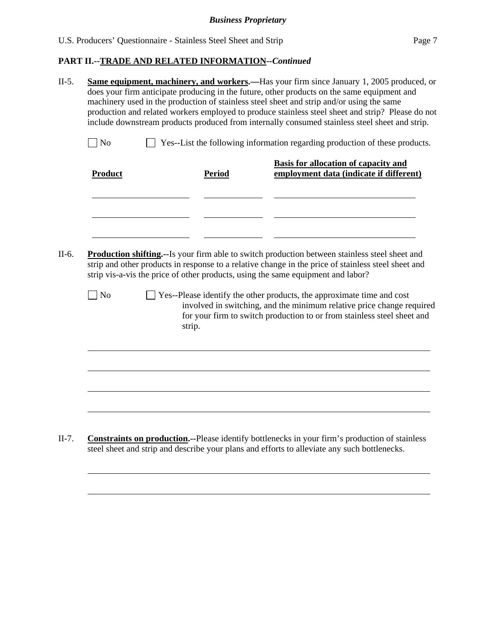|        | <b>Basis for allocation of capacity and</b><br>employment data (indicate if different)                                                                                                                                                                                                            |
|--------|---------------------------------------------------------------------------------------------------------------------------------------------------------------------------------------------------------------------------------------------------------------------------------------------------|
|        |                                                                                                                                                                                                                                                                                                   |
|        |                                                                                                                                                                                                                                                                                                   |
|        |                                                                                                                                                                                                                                                                                                   |
|        |                                                                                                                                                                                                                                                                                                   |
|        | <b>Production shifting.</b> --Is your firm able to switch production between stainless steel sheet and<br>strip and other products in response to a relative change in the price of stainless steel sheet and<br>strip vis-a-vis the price of other products, using the same equipment and labor? |
|        | Yes--Please identify the other products, the approximate time and cost                                                                                                                                                                                                                            |
|        | involved in switching, and the minimum relative price change required<br>for your firm to switch production to or from stainless steel sheet and                                                                                                                                                  |
| strip. |                                                                                                                                                                                                                                                                                                   |
|        |                                                                                                                                                                                                                                                                                                   |
|        |                                                                                                                                                                                                                                                                                                   |
|        | <b>Period</b>                                                                                                                                                                                                                                                                                     |

II-7. **Constraints on production.--**Please identify bottlenecks in your firm's production of stainless steel sheet and strip and describe your plans and efforts to alleviate any such bottlenecks.

 $\overline{a}$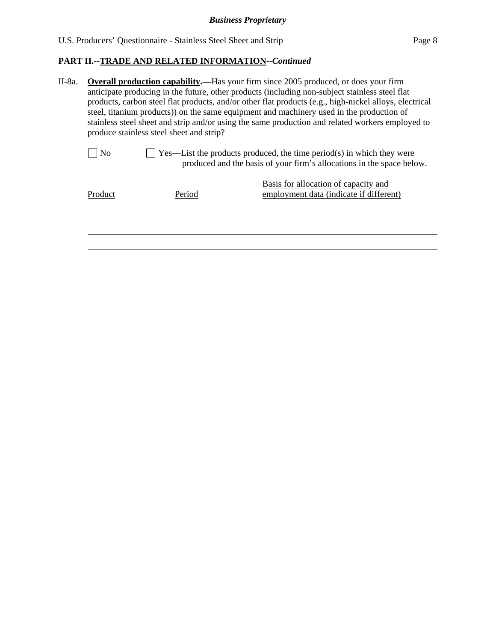$\overline{a}$ 

# **PART II.--TRADE AND RELATED INFORMATION***--Continued*

| II-8a. | <b>Overall production capability.—Has your firm since 2005 produced, or does your firm</b>             |
|--------|--------------------------------------------------------------------------------------------------------|
|        | anticipate producing in the future, other products (including non-subject stainless steel flat         |
|        | products, carbon steel flat products, and/or other flat products (e.g., high-nickel alloys, electrical |
|        | steel, titanium products) on the same equipment and machinery used in the production of                |
|        | stainless steel sheet and strip and/or using the same production and related workers employed to       |
|        | produce stainless steel sheet and strip?                                                               |

| $\Box$ No | $\Box$ Yes---List the products produced, the time period(s) in which they were |
|-----------|--------------------------------------------------------------------------------|
|           | produced and the basis of your firm's allocations in the space below.          |

| Product | Period | Basis for allocation of capacity and<br>employment data (indicate if different) |
|---------|--------|---------------------------------------------------------------------------------|
|         |        |                                                                                 |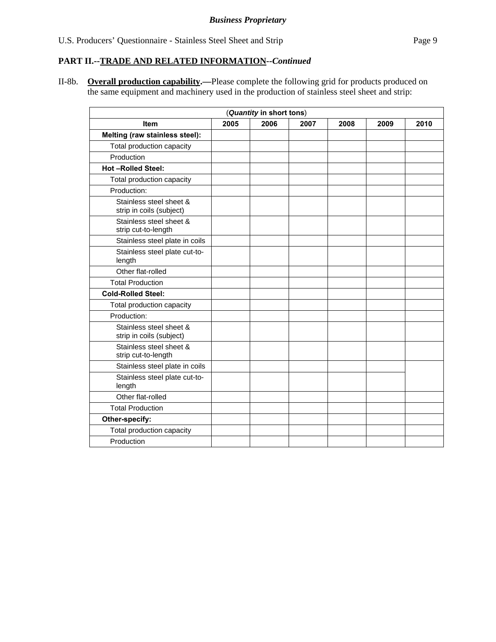II-8b. **Overall production capability.—**Please complete the following grid for products produced on the same equipment and machinery used in the production of stainless steel sheet and strip:

|                                                     |      | (Quantity in short tons) |      |      |      |      |
|-----------------------------------------------------|------|--------------------------|------|------|------|------|
| <b>Item</b>                                         | 2005 | 2006                     | 2007 | 2008 | 2009 | 2010 |
| Melting (raw stainless steel):                      |      |                          |      |      |      |      |
| Total production capacity                           |      |                          |      |      |      |      |
| Production                                          |      |                          |      |      |      |      |
| <b>Hot-Rolled Steel:</b>                            |      |                          |      |      |      |      |
| Total production capacity                           |      |                          |      |      |      |      |
| Production:                                         |      |                          |      |      |      |      |
| Stainless steel sheet &<br>strip in coils (subject) |      |                          |      |      |      |      |
| Stainless steel sheet &<br>strip cut-to-length      |      |                          |      |      |      |      |
| Stainless steel plate in coils                      |      |                          |      |      |      |      |
| Stainless steel plate cut-to-<br>length             |      |                          |      |      |      |      |
| Other flat-rolled                                   |      |                          |      |      |      |      |
| <b>Total Production</b>                             |      |                          |      |      |      |      |
| <b>Cold-Rolled Steel:</b>                           |      |                          |      |      |      |      |
| Total production capacity                           |      |                          |      |      |      |      |
| Production:                                         |      |                          |      |      |      |      |
| Stainless steel sheet &<br>strip in coils (subject) |      |                          |      |      |      |      |
| Stainless steel sheet &<br>strip cut-to-length      |      |                          |      |      |      |      |
| Stainless steel plate in coils                      |      |                          |      |      |      |      |
| Stainless steel plate cut-to-<br>length             |      |                          |      |      |      |      |
| Other flat-rolled                                   |      |                          |      |      |      |      |
| <b>Total Production</b>                             |      |                          |      |      |      |      |
| Other-specify:                                      |      |                          |      |      |      |      |
| Total production capacity                           |      |                          |      |      |      |      |
| Production                                          |      |                          |      |      |      |      |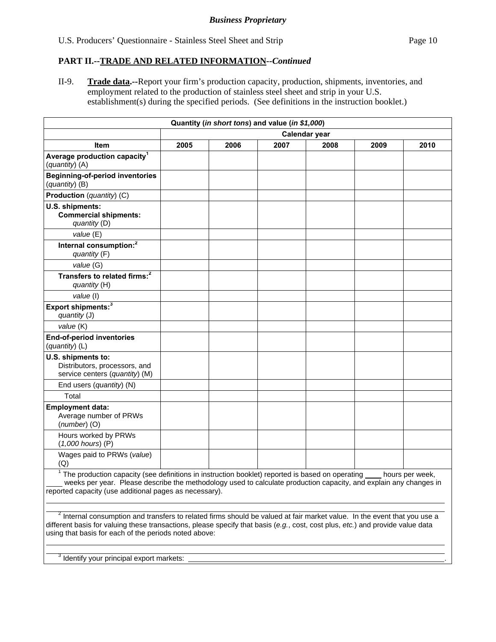II-9. **Trade data.--**Report your firm's production capacity, production, shipments, inventories, and employment related to the production of stainless steel sheet and strip in your U.S. establishment(s) during the specified periods. (See definitions in the instruction booklet.)

|                                                                                                                                                                                                                                                                                                                       |      |      | Quantity (in short tons) and value (in \$1,000) |               |      |                 |
|-----------------------------------------------------------------------------------------------------------------------------------------------------------------------------------------------------------------------------------------------------------------------------------------------------------------------|------|------|-------------------------------------------------|---------------|------|-----------------|
|                                                                                                                                                                                                                                                                                                                       |      |      |                                                 | Calendar year |      |                 |
| Item                                                                                                                                                                                                                                                                                                                  | 2005 | 2006 | 2007                                            | 2008          | 2009 | 2010            |
| Average production capacity <sup>1</sup><br>(quantity) (A)                                                                                                                                                                                                                                                            |      |      |                                                 |               |      |                 |
| <b>Beginning-of-period inventories</b><br>(quantity) (B)                                                                                                                                                                                                                                                              |      |      |                                                 |               |      |                 |
| Production (quantity) (C)                                                                                                                                                                                                                                                                                             |      |      |                                                 |               |      |                 |
| U.S. shipments:<br><b>Commercial shipments:</b><br>quantity (D)                                                                                                                                                                                                                                                       |      |      |                                                 |               |      |                 |
| value (E)                                                                                                                                                                                                                                                                                                             |      |      |                                                 |               |      |                 |
| Internal consumption: <sup>2</sup><br>quantity (F)                                                                                                                                                                                                                                                                    |      |      |                                                 |               |      |                 |
| value (G)                                                                                                                                                                                                                                                                                                             |      |      |                                                 |               |      |                 |
| Transfers to related firms: <sup>2</sup><br>quantity (H)                                                                                                                                                                                                                                                              |      |      |                                                 |               |      |                 |
| value (I)                                                                                                                                                                                                                                                                                                             |      |      |                                                 |               |      |                 |
| Export shipments: <sup>3</sup><br>quantity (J)                                                                                                                                                                                                                                                                        |      |      |                                                 |               |      |                 |
| value (K)                                                                                                                                                                                                                                                                                                             |      |      |                                                 |               |      |                 |
| <b>End-of-period inventories</b><br>(quantity) (L)                                                                                                                                                                                                                                                                    |      |      |                                                 |               |      |                 |
| U.S. shipments to:<br>Distributors, processors, and<br>service centers (quantity) (M)                                                                                                                                                                                                                                 |      |      |                                                 |               |      |                 |
| End users (quantity) (N)                                                                                                                                                                                                                                                                                              |      |      |                                                 |               |      |                 |
| Total                                                                                                                                                                                                                                                                                                                 |      |      |                                                 |               |      |                 |
| <b>Employment data:</b><br>Average number of PRWs<br>$(number)$ (O)                                                                                                                                                                                                                                                   |      |      |                                                 |               |      |                 |
| Hours worked by PRWs<br>$(1,000$ hours) $(P)$                                                                                                                                                                                                                                                                         |      |      |                                                 |               |      |                 |
| Wages paid to PRWs (value)<br>(Q)                                                                                                                                                                                                                                                                                     |      |      |                                                 |               |      |                 |
| The production capacity (see definitions in instruction booklet) reported is based on operating<br>weeks per year. Please describe the methodology used to calculate production capacity, and explain any changes in<br>reported capacity (use additional pages as necessary).                                        |      |      |                                                 |               |      | hours per week, |
| $2$ Internal consumption and transfers to related firms should be valued at fair market value. In the event that you use a<br>different basis for valuing these transactions, please specify that basis (e.g., cost, cost plus, etc.) and provide value data<br>using that basis for each of the periods noted above: |      |      |                                                 |               |      |                 |

 $3$  Identify your principal export markets:  $\Box$ 

 $\overline{a}$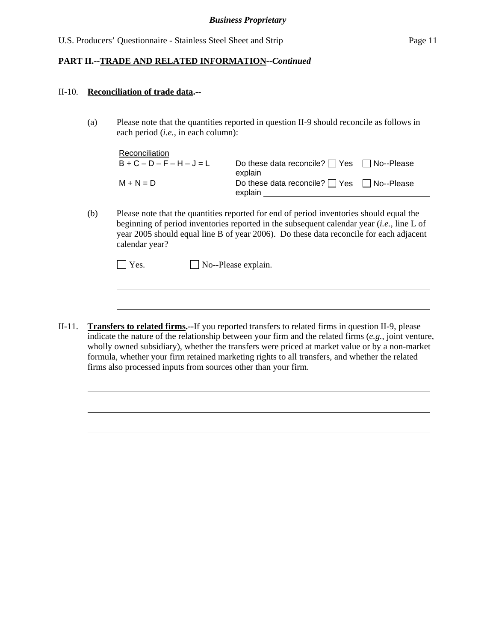#### II-10. **Reconciliation of trade data.--**

l

l

(a) Please note that the quantities reported in question II-9 should reconcile as follows in each period (*i.e.*, in each column):

| Reconciliation  |                                                       |  |
|-----------------|-------------------------------------------------------|--|
| $B+C-D-F-H-J=L$ | Do these data reconcile? $\Box$ Yes $\Box$ No--Please |  |
|                 | explain                                               |  |
| $M + N = D$     | Do these data reconcile? $\Box$ Yes $\Box$ No--Please |  |
|                 | explain                                               |  |

(b) Please note that the quantities reported for end of period inventories should equal the beginning of period inventories reported in the subsequent calendar year (*i.e.*, line L of year 2005 should equal line B of year 2006). Do these data reconcile for each adjacent calendar year?

II-11. **Transfers to related firms.--**If you reported transfers to related firms in question II-9, please indicate the nature of the relationship between your firm and the related firms (*e.g.*, joint venture, wholly owned subsidiary), whether the transfers were priced at market value or by a non-market formula, whether your firm retained marketing rights to all transfers, and whether the related firms also processed inputs from sources other than your firm.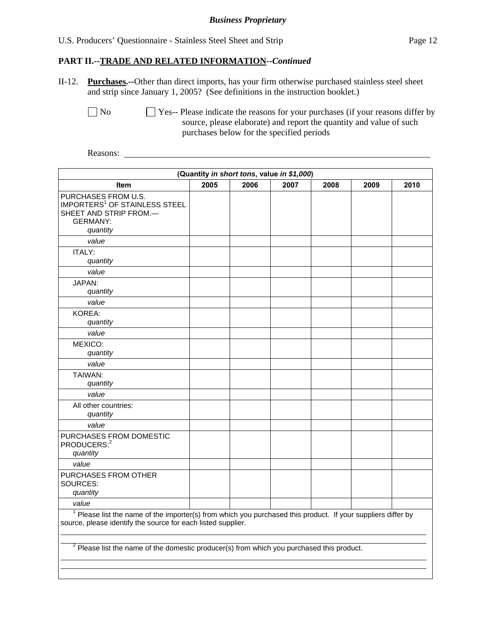#### *Business Proprietary*

## U.S. Producers' Questionnaire - Stainless Steel Sheet and Strip Page 12

#### **PART II.--TRADE AND RELATED INFORMATION***--Continued*

II-12. **Purchases.--**Other than direct imports, has your firm otherwise purchased stainless steel sheet and strip since January 1, 2005? (See definitions in the instruction booklet.)

 $\Box$  No  $\Box$  Yes-- Please indicate the reasons for your purchases (if your reasons differ by source, please elaborate) and report the quantity and value of such purchases below for the specified periods

Reasons:

|                                                                                                                                                                                |      | (Quantity in short tons, value in \$1,000) |      |      |      |      |
|--------------------------------------------------------------------------------------------------------------------------------------------------------------------------------|------|--------------------------------------------|------|------|------|------|
| <b>Item</b>                                                                                                                                                                    | 2005 | 2006                                       | 2007 | 2008 | 2009 | 2010 |
| PURCHASES FROM U.S.<br><b>IMPORTERS<sup>1</sup> OF STAINLESS STEEL</b><br>SHEET AND STRIP FROM.-<br><b>GERMANY:</b><br>quantity                                                |      |                                            |      |      |      |      |
| value                                                                                                                                                                          |      |                                            |      |      |      |      |
| ITALY:<br>quantity                                                                                                                                                             |      |                                            |      |      |      |      |
| value                                                                                                                                                                          |      |                                            |      |      |      |      |
| JAPAN:<br>quantity                                                                                                                                                             |      |                                            |      |      |      |      |
| value                                                                                                                                                                          |      |                                            |      |      |      |      |
| KOREA:<br>quantity                                                                                                                                                             |      |                                            |      |      |      |      |
| value                                                                                                                                                                          |      |                                            |      |      |      |      |
| MEXICO:<br>quantity                                                                                                                                                            |      |                                            |      |      |      |      |
| value                                                                                                                                                                          |      |                                            |      |      |      |      |
| TAIWAN:<br>quantity                                                                                                                                                            |      |                                            |      |      |      |      |
| value                                                                                                                                                                          |      |                                            |      |      |      |      |
| All other countries:<br>quantity                                                                                                                                               |      |                                            |      |      |      |      |
| value                                                                                                                                                                          |      |                                            |      |      |      |      |
| PURCHASES FROM DOMESTIC<br>PRODUCERS: <sup>2</sup><br>quantity                                                                                                                 |      |                                            |      |      |      |      |
| value                                                                                                                                                                          |      |                                            |      |      |      |      |
| PURCHASES FROM OTHER<br>SOURCES:<br>quantity                                                                                                                                   |      |                                            |      |      |      |      |
| value                                                                                                                                                                          |      |                                            |      |      |      |      |
| $1$ Please list the name of the importer(s) from which you purchased this product. If your suppliers differ by<br>source, please identify the source for each listed supplier. |      |                                            |      |      |      |      |
| $2$ Please list the name of the domestic producer(s) from which you purchased this product.                                                                                    |      |                                            |      |      |      |      |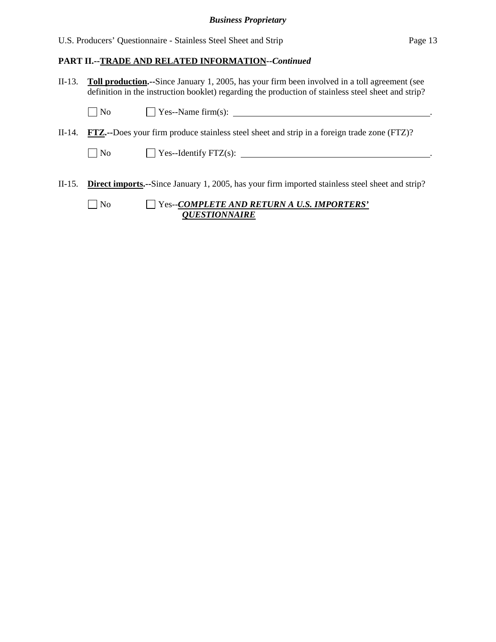## *Business Proprietary*

U.S. Producers' Questionnaire - Stainless Steel Sheet and Strip Page 13

#### **PART II.--TRADE AND RELATED INFORMATION***--Continued*

II-13. **Toll production.--**Since January 1, 2005, has your firm been involved in a toll agreement (see definition in the instruction booklet) regarding the production of stainless steel sheet and strip?

| $\overline{\phantom{0}}$<br>$ $ No | $Y$ es--Name firm(s): |  |
|------------------------------------|-----------------------|--|
|                                    |                       |  |

II-14. **FTZ.--**Does your firm produce stainless steel sheet and strip in a foreign trade zone (FTZ)?

 $\Box$  No  $\Box$  Yes--Identify FTZ(s):  $\Box$ 

II-15. **Direct imports.--**Since January 1, 2005, has your firm imported stainless steel sheet and strip?

| $\Box$ No | $\Box$ Yes--COMPLETE AND RETURN A U.S. IMPORTERS' |
|-----------|---------------------------------------------------|
|           | <i><b>OUESTIONNAIRE</b></i>                       |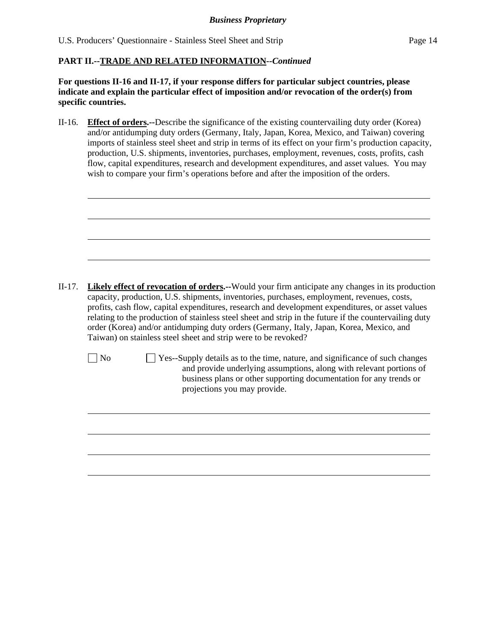**For questions II-16 and II-17, if your response differs for particular subject countries, please indicate and explain the particular effect of imposition and/or revocation of the order(s) from specific countries.**

II-16. **Effect of orders.--**Describe the significance of the existing countervailing duty order (Korea) and/or antidumping duty orders (Germany, Italy, Japan, Korea, Mexico, and Taiwan) covering imports of stainless steel sheet and strip in terms of its effect on your firm's production capacity, production, U.S. shipments, inventories, purchases, employment, revenues, costs, profits, cash flow, capital expenditures, research and development expenditures, and asset values. You may wish to compare your firm's operations before and after the imposition of the orders.

- II-17. **Likely effect of revocation of orders.--**Would your firm anticipate any changes in its production capacity, production, U.S. shipments, inventories, purchases, employment, revenues, costs, profits, cash flow, capital expenditures, research and development expenditures, or asset values relating to the production of stainless steel sheet and strip in the future if the countervailing duty order (Korea) and/or antidumping duty orders (Germany, Italy, Japan, Korea, Mexico, and Taiwan) on stainless steel sheet and strip were to be revoked?
	-

l

 $\overline{a}$ 

 $\Box$  No  $\Box$  Yes--Supply details as to the time, nature, and significance of such changes and provide underlying assumptions, along with relevant portions of business plans or other supporting documentation for any trends or projections you may provide.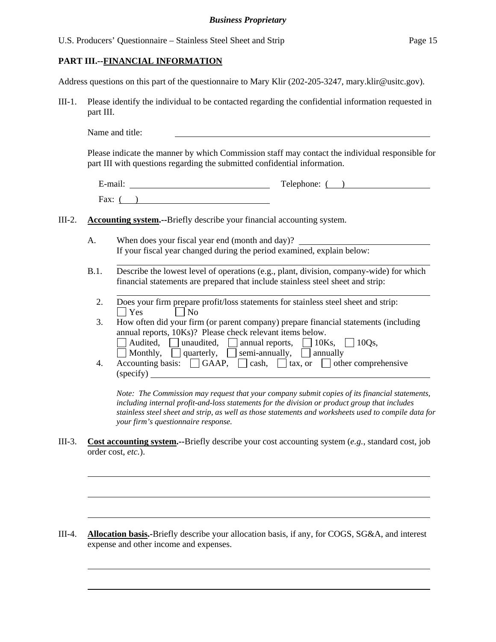| U.S. Producers' Questionnaire – Stainless Steel Sheet and Strip | Page 15 |
|-----------------------------------------------------------------|---------|
|-----------------------------------------------------------------|---------|

# **PART III.--FINANCIAL INFORMATION**

 $\overline{a}$ 

l

 $\overline{a}$ 

Address questions on this part of the questionnaire to Mary Klir (202-205-3247, mary.klir@usitc.gov).

III-1. Please identify the individual to be contacted regarding the confidential information requested in part III.

Name and title:

Please indicate the manner by which Commission staff may contact the individual responsible for part III with questions regarding the submitted confidential information.

| E-mail: | Telephone: |  |
|---------|------------|--|
| Fax:    |            |  |

- III-2. **Accounting system.--**Briefly describe your financial accounting system.
	- A. When does your fiscal year end (month and day)? If your fiscal year changed during the period examined, explain below:
	- B.1. Describe the lowest level of operations (e.g., plant, division, company-wide) for which financial statements are prepared that include stainless steel sheet and strip:
		- $\overline{a}$  2. Does your firm prepare profit/loss statements for stainless steel sheet and strip:  $\Box$  Yes  $\Box$  No
		- 3. How often did your firm (or parent company) prepare financial statements (including annual reports, 10Ks)? Please check relevant items below. Audited, unaudited, annual reports,  $\Box$  10Ks,  $\Box$  10Qs,
		- $\Box$  Monthly,  $\Box$  quarterly,  $\Box$  semi-annually,  $\Box$  annually
		- 4. Accounting basis:  $\Box$  GAAP,  $\Box$  cash,  $\Box$  tax, or  $\Box$  other comprehensive (specify)

*Note: The Commission may request that your company submit copies of its financial statements, including internal profit-and-loss statements for the division or product group that includes stainless steel sheet and strip, as well as those statements and worksheets used to compile data for your firm's questionnaire response.* 

III-3. **Cost accounting system.--**Briefly describe your cost accounting system (*e.g.*, standard cost, job order cost, *etc.*).

III-4. **Allocation basis.-**Briefly describe your allocation basis, if any, for COGS, SG&A, and interest expense and other income and expenses.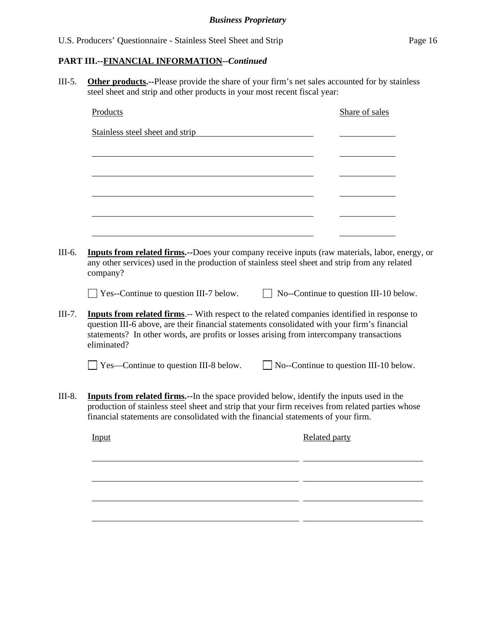III-5. **Other products.--**Please provide the share of your firm's net sales accounted for by stainless steel sheet and strip and other products in your most recent fiscal year:

| Stainless steel sheet and strip<br>Inputs from related firms.--Does your company receive inputs (raw materials, labor, energy, or<br>any other services) used in the production of stainless steel sheet and strip from any related<br>company?<br>$\Box$ Yes--Continue to question III-7 below.<br>$\Box$ No--Continue to question III-10 below.<br><b>Inputs from related firms.</b> -- With respect to the related companies identified in response to<br>question III-6 above, are their financial statements consolidated with your firm's financial<br>statements? In other words, are profits or losses arising from intercompany transactions<br>eliminated?<br>$\Box$ Yes—Continue to question III-8 below.<br>$\Box$ No--Continue to question III-10 below.<br><b>Inputs from related firms.</b> --In the space provided below, identify the inputs used in the<br>production of stainless steel sheet and strip that your firm receives from related parties whose<br>financial statements are consolidated with the financial statements of your firm.<br><b>Related party</b><br>Input |  | Share of sales |
|-----------------------------------------------------------------------------------------------------------------------------------------------------------------------------------------------------------------------------------------------------------------------------------------------------------------------------------------------------------------------------------------------------------------------------------------------------------------------------------------------------------------------------------------------------------------------------------------------------------------------------------------------------------------------------------------------------------------------------------------------------------------------------------------------------------------------------------------------------------------------------------------------------------------------------------------------------------------------------------------------------------------------------------------------------------------------------------------------------|--|----------------|
|                                                                                                                                                                                                                                                                                                                                                                                                                                                                                                                                                                                                                                                                                                                                                                                                                                                                                                                                                                                                                                                                                                     |  |                |
|                                                                                                                                                                                                                                                                                                                                                                                                                                                                                                                                                                                                                                                                                                                                                                                                                                                                                                                                                                                                                                                                                                     |  |                |
|                                                                                                                                                                                                                                                                                                                                                                                                                                                                                                                                                                                                                                                                                                                                                                                                                                                                                                                                                                                                                                                                                                     |  |                |
|                                                                                                                                                                                                                                                                                                                                                                                                                                                                                                                                                                                                                                                                                                                                                                                                                                                                                                                                                                                                                                                                                                     |  |                |
|                                                                                                                                                                                                                                                                                                                                                                                                                                                                                                                                                                                                                                                                                                                                                                                                                                                                                                                                                                                                                                                                                                     |  |                |
|                                                                                                                                                                                                                                                                                                                                                                                                                                                                                                                                                                                                                                                                                                                                                                                                                                                                                                                                                                                                                                                                                                     |  |                |
|                                                                                                                                                                                                                                                                                                                                                                                                                                                                                                                                                                                                                                                                                                                                                                                                                                                                                                                                                                                                                                                                                                     |  |                |
|                                                                                                                                                                                                                                                                                                                                                                                                                                                                                                                                                                                                                                                                                                                                                                                                                                                                                                                                                                                                                                                                                                     |  |                |
|                                                                                                                                                                                                                                                                                                                                                                                                                                                                                                                                                                                                                                                                                                                                                                                                                                                                                                                                                                                                                                                                                                     |  |                |
|                                                                                                                                                                                                                                                                                                                                                                                                                                                                                                                                                                                                                                                                                                                                                                                                                                                                                                                                                                                                                                                                                                     |  |                |
|                                                                                                                                                                                                                                                                                                                                                                                                                                                                                                                                                                                                                                                                                                                                                                                                                                                                                                                                                                                                                                                                                                     |  |                |
|                                                                                                                                                                                                                                                                                                                                                                                                                                                                                                                                                                                                                                                                                                                                                                                                                                                                                                                                                                                                                                                                                                     |  |                |
|                                                                                                                                                                                                                                                                                                                                                                                                                                                                                                                                                                                                                                                                                                                                                                                                                                                                                                                                                                                                                                                                                                     |  |                |
|                                                                                                                                                                                                                                                                                                                                                                                                                                                                                                                                                                                                                                                                                                                                                                                                                                                                                                                                                                                                                                                                                                     |  |                |
|                                                                                                                                                                                                                                                                                                                                                                                                                                                                                                                                                                                                                                                                                                                                                                                                                                                                                                                                                                                                                                                                                                     |  |                |
|                                                                                                                                                                                                                                                                                                                                                                                                                                                                                                                                                                                                                                                                                                                                                                                                                                                                                                                                                                                                                                                                                                     |  |                |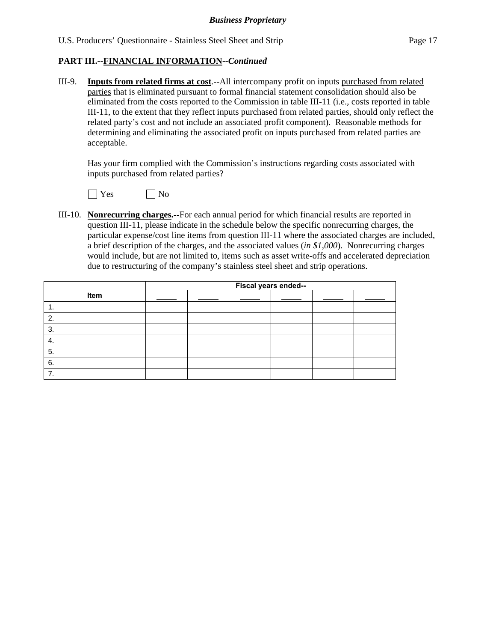III-9. **Inputs from related firms at cost**.--All intercompany profit on inputs purchased from related parties that is eliminated pursuant to formal financial statement consolidation should also be eliminated from the costs reported to the Commission in table III-11 (i.e., costs reported in table III-11, to the extent that they reflect inputs purchased from related parties, should only reflect the related party's cost and not include an associated profit component). Reasonable methods for determining and eliminating the associated profit on inputs purchased from related parties are acceptable.

 Has your firm complied with the Commission's instructions regarding costs associated with inputs purchased from related parties?



III-10. **Nonrecurring charges.--**For each annual period for which financial results are reported in question III-11, please indicate in the schedule below the specific nonrecurring charges, the particular expense/cost line items from question III-11 where the associated charges are included, a brief description of the charges, and the associated values (*in \$1,000*). Nonrecurring charges would include, but are not limited to, items such as asset write-offs and accelerated depreciation due to restructuring of the company's stainless steel sheet and strip operations.

|      | Fiscal years ended-- |  |  |  |  |  |
|------|----------------------|--|--|--|--|--|
| Item |                      |  |  |  |  |  |
| . .  |                      |  |  |  |  |  |
| 2.   |                      |  |  |  |  |  |
| 3.   |                      |  |  |  |  |  |
| -4.  |                      |  |  |  |  |  |
| -5.  |                      |  |  |  |  |  |
| 6.   |                      |  |  |  |  |  |
|      |                      |  |  |  |  |  |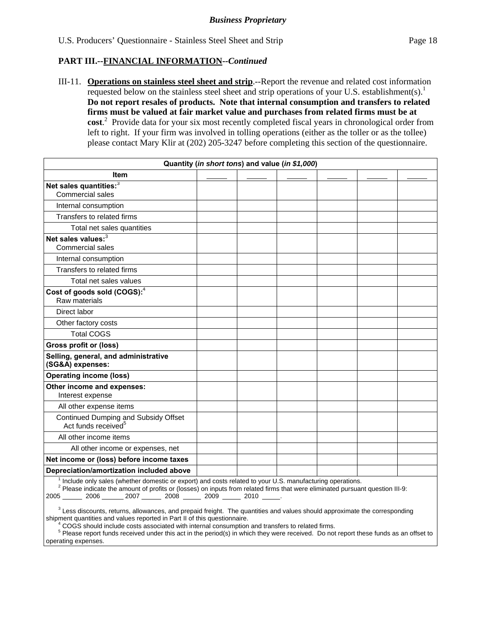III-11. **Operations on stainless steel sheet and strip**.--Report the revenue and related cost information requested below on the stainless steel sheet and strip operations of your U.S. establishment(s).<sup>1</sup> **Do not report resales of products. Note that internal consumption and transfers to related firms must be valued at fair market value and purchases from related firms must be at cost**. 2 Provide data for your six most recently completed fiscal years in chronological order from left to right. If your firm was involved in tolling operations (either as the toller or as the tollee) please contact Mary Klir at (202) 205-3247 before completing this section of the questionnaire.

| Quantity (in short tons) and value (in \$1,000)                                                          |  |  |  |  |  |  |
|----------------------------------------------------------------------------------------------------------|--|--|--|--|--|--|
| <b>Item</b>                                                                                              |  |  |  |  |  |  |
| Net sales quantities: <sup>3</sup>                                                                       |  |  |  |  |  |  |
| Commercial sales                                                                                         |  |  |  |  |  |  |
| Internal consumption                                                                                     |  |  |  |  |  |  |
| Transfers to related firms                                                                               |  |  |  |  |  |  |
| Total net sales quantities                                                                               |  |  |  |  |  |  |
| Net sales values: <sup>3</sup><br>Commercial sales                                                       |  |  |  |  |  |  |
| Internal consumption                                                                                     |  |  |  |  |  |  |
| Transfers to related firms                                                                               |  |  |  |  |  |  |
| Total net sales values                                                                                   |  |  |  |  |  |  |
| Cost of goods sold (COGS): <sup>4</sup><br>Raw materials                                                 |  |  |  |  |  |  |
| Direct labor                                                                                             |  |  |  |  |  |  |
| Other factory costs                                                                                      |  |  |  |  |  |  |
| <b>Total COGS</b>                                                                                        |  |  |  |  |  |  |
| Gross profit or (loss)                                                                                   |  |  |  |  |  |  |
| Selling, general, and administrative<br>(SG&A) expenses:                                                 |  |  |  |  |  |  |
| <b>Operating income (loss)</b>                                                                           |  |  |  |  |  |  |
| Other income and expenses:<br>Interest expense                                                           |  |  |  |  |  |  |
| All other expense items                                                                                  |  |  |  |  |  |  |
| Continued Dumping and Subsidy Offset<br>Act funds received <sup>5</sup>                                  |  |  |  |  |  |  |
| All other income items                                                                                   |  |  |  |  |  |  |
| All other income or expenses, net                                                                        |  |  |  |  |  |  |
| Net income or (loss) before income taxes                                                                 |  |  |  |  |  |  |
| Depreciation/amortization included above                                                                 |  |  |  |  |  |  |
| Include only sales (whether domestic or export) and costs related to your U.S. manufacturing operations. |  |  |  |  |  |  |

<sup>1</sup> Include only sales (whether domestic or export) and costs related to your U.S. manufacturing operations.<br><sup>2</sup> Please indicate the amount of profits or (losses) on inputs from related firms that were eliminated pursuant

2005 2006 2007 2008 2009 2010 .

 $3$  Less discounts, returns, allowances, and prepaid freight. The quantities and values should approximate the corresponding shipment quantities and values reported in Part II of this questionnaire.

COGS should include costs associated with internal consumption and transfers to related firms. 5

 Please report funds received under this act in the period(s) in which they were received. Do not report these funds as an offset to operating expenses.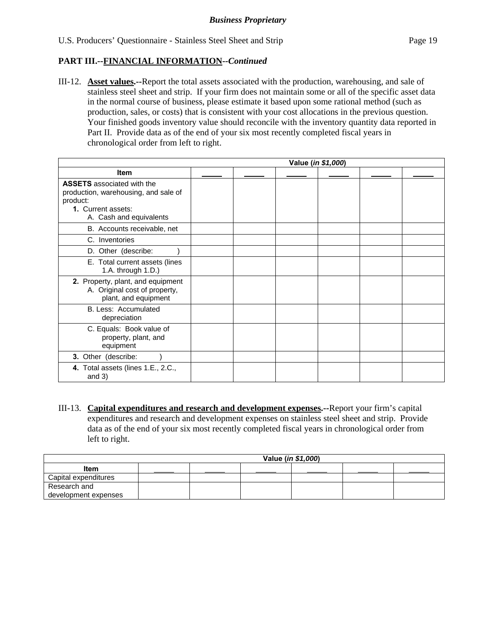III-12. **Asset values.--**Report the total assets associated with the production, warehousing, and sale of stainless steel sheet and strip. If your firm does not maintain some or all of the specific asset data in the normal course of business, please estimate it based upon some rational method (such as production, sales, or costs) that is consistent with your cost allocations in the previous question. Your finished goods inventory value should reconcile with the inventory quantity data reported in Part II. Provide data as of the end of your six most recently completed fiscal years in chronological order from left to right.

|                                                                                                                                        | Value (in \$1,000) |  |  |  |  |  |
|----------------------------------------------------------------------------------------------------------------------------------------|--------------------|--|--|--|--|--|
| <b>Item</b>                                                                                                                            |                    |  |  |  |  |  |
| <b>ASSETS</b> associated with the<br>production, warehousing, and sale of<br>product:<br>1. Current assets:<br>A. Cash and equivalents |                    |  |  |  |  |  |
| B. Accounts receivable, net                                                                                                            |                    |  |  |  |  |  |
| C. Inventories                                                                                                                         |                    |  |  |  |  |  |
| D. Other (describe:                                                                                                                    |                    |  |  |  |  |  |
| E. Total current assets (lines<br>1.A. through 1.D.)                                                                                   |                    |  |  |  |  |  |
| 2. Property, plant, and equipment<br>A. Original cost of property,<br>plant, and equipment                                             |                    |  |  |  |  |  |
| B. Less: Accumulated<br>depreciation                                                                                                   |                    |  |  |  |  |  |
| C. Equals: Book value of<br>property, plant, and<br>equipment                                                                          |                    |  |  |  |  |  |
| 3. Other (describe:                                                                                                                    |                    |  |  |  |  |  |
| 4. Total assets (lines 1.E., 2.C.,<br>and $3)$                                                                                         |                    |  |  |  |  |  |

III-13. **Capital expenditures and research and development expenses.--**Report your firm's capital expenditures and research and development expenses on stainless steel sheet and strip. Provide data as of the end of your six most recently completed fiscal years in chronological order from left to right.

|                      | Value ( <i>in \$1,000</i> ) |  |  |  |  |  |  |
|----------------------|-----------------------------|--|--|--|--|--|--|
| <b>Item</b>          |                             |  |  |  |  |  |  |
| Capital expenditures |                             |  |  |  |  |  |  |
| Research and         |                             |  |  |  |  |  |  |
| development expenses |                             |  |  |  |  |  |  |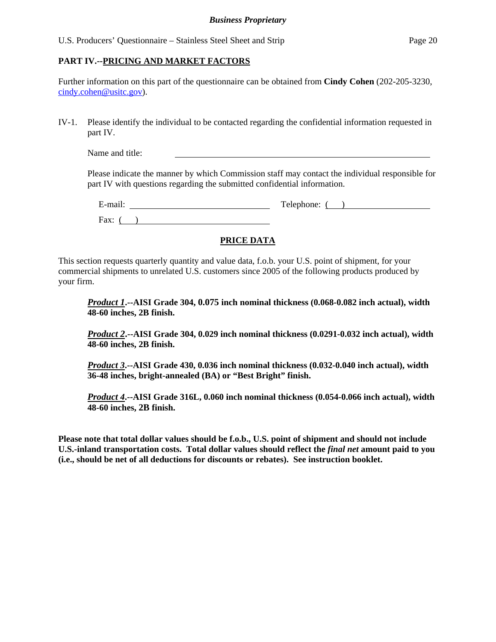#### U.S. Producers' Questionnaire – Stainless Steel Sheet and Strip Page 20

## **PART IV.--PRICING AND MARKET FACTORS**

Further information on this part of the questionnaire can be obtained from **Cindy Cohen** (202-205-3230, cindy.cohen@usitc.gov).

IV-1. Please identify the individual to be contacted regarding the confidential information requested in part IV.

Name and title:

Please indicate the manner by which Commission staff may contact the individual responsible for part IV with questions regarding the submitted confidential information.

| $\cdot$ $\cdot$<br>$\sim$<br>$ ma$ <sub>1</sub> . | $\mathbf{r}$<br>$\mu$ none: $\mu$<br>1 CK<br>- |
|---------------------------------------------------|------------------------------------------------|
| $\Gamma$ ax:                                      |                                                |

# **PRICE DATA**

This section requests quarterly quantity and value data, f.o.b. your U.S. point of shipment, for your commercial shipments to unrelated U.S. customers since 2005 of the following products produced by your firm.

*Product 1***.--AISI Grade 304, 0.075 inch nominal thickness (0.068-0.082 inch actual), width 48-60 inches, 2B finish.** 

*Product 2***.--AISI Grade 304, 0.029 inch nominal thickness (0.0291-0.032 inch actual), width 48-60 inches, 2B finish.** 

*Product 3***.--AISI Grade 430, 0.036 inch nominal thickness (0.032-0.040 inch actual), width 36-48 inches, bright-annealed (BA) or "Best Bright" finish.** 

*Product 4***.--AISI Grade 316L, 0.060 inch nominal thickness (0.054-0.066 inch actual), width 48-60 inches, 2B finish.** 

**Please note that total dollar values should be f.o.b., U.S. point of shipment and should not include U.S.-inland transportation costs. Total dollar values should reflect the** *final net* **amount paid to you (i.e., should be net of all deductions for discounts or rebates). See instruction booklet.**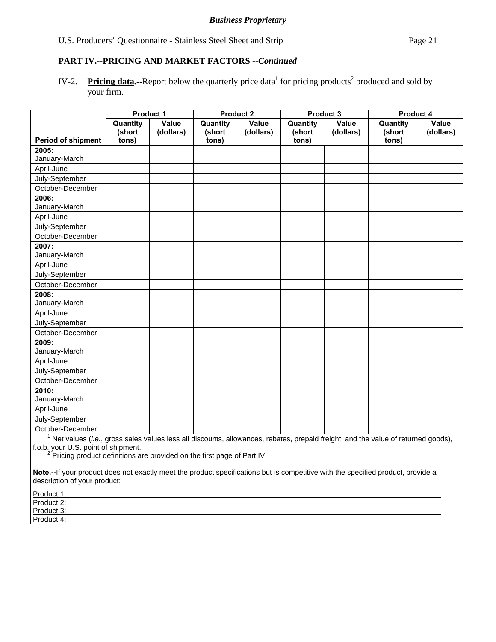IV-2. Pricing data.--Report below the quarterly price data<sup>1</sup> for pricing products<sup>2</sup> produced and sold by your firm.

|                           |                    | <b>Product 1</b>   |                    | <b>Product 2</b>   |                    | Product 3          | Product 4          |                    |
|---------------------------|--------------------|--------------------|--------------------|--------------------|--------------------|--------------------|--------------------|--------------------|
|                           | Quantity<br>(short | Value<br>(dollars) | Quantity<br>(short | Value<br>(dollars) | Quantity<br>(short | Value<br>(dollars) | Quantity<br>(short | Value<br>(dollars) |
| <b>Period of shipment</b> | tons)              |                    | tons)              |                    | tons)              |                    | tons)              |                    |
| 2005:                     |                    |                    |                    |                    |                    |                    |                    |                    |
| January-March             |                    |                    |                    |                    |                    |                    |                    |                    |
| April-June                |                    |                    |                    |                    |                    |                    |                    |                    |
| July-September            |                    |                    |                    |                    |                    |                    |                    |                    |
| October-December          |                    |                    |                    |                    |                    |                    |                    |                    |
| 2006:                     |                    |                    |                    |                    |                    |                    |                    |                    |
| January-March             |                    |                    |                    |                    |                    |                    |                    |                    |
| April-June                |                    |                    |                    |                    |                    |                    |                    |                    |
| July-September            |                    |                    |                    |                    |                    |                    |                    |                    |
| October-December          |                    |                    |                    |                    |                    |                    |                    |                    |
| 2007:                     |                    |                    |                    |                    |                    |                    |                    |                    |
| January-March             |                    |                    |                    |                    |                    |                    |                    |                    |
| April-June                |                    |                    |                    |                    |                    |                    |                    |                    |
| July-September            |                    |                    |                    |                    |                    |                    |                    |                    |
| October-December          |                    |                    |                    |                    |                    |                    |                    |                    |
| 2008:                     |                    |                    |                    |                    |                    |                    |                    |                    |
| January-March             |                    |                    |                    |                    |                    |                    |                    |                    |
| April-June                |                    |                    |                    |                    |                    |                    |                    |                    |
| July-September            |                    |                    |                    |                    |                    |                    |                    |                    |
| October-December          |                    |                    |                    |                    |                    |                    |                    |                    |
| 2009:                     |                    |                    |                    |                    |                    |                    |                    |                    |
| January-March             |                    |                    |                    |                    |                    |                    |                    |                    |
| April-June                |                    |                    |                    |                    |                    |                    |                    |                    |
| July-September            |                    |                    |                    |                    |                    |                    |                    |                    |
| October-December          |                    |                    |                    |                    |                    |                    |                    |                    |
| 2010:                     |                    |                    |                    |                    |                    |                    |                    |                    |
| January-March             |                    |                    |                    |                    |                    |                    |                    |                    |
| April-June                |                    |                    |                    |                    |                    |                    |                    |                    |
| July-September            |                    |                    |                    |                    |                    |                    |                    |                    |
| October-December          |                    |                    |                    |                    |                    |                    |                    |                    |

October-December 1 Net values (*i.e.*, gross sales values less all discounts, allowances, rebates, prepaid freight, and the value of returned goods),

f.o.b. your U.S. point of shipment.<br><sup>2</sup> Pricing product definitions are provided on the first page of Part IV.

**Note.--**If your product does not exactly meet the product specifications but is competitive with the specified product, provide a description of your product:

| Product 1:       |  |
|------------------|--|
| Product 2:       |  |
| Product 3:       |  |
| Product 4:<br>uu |  |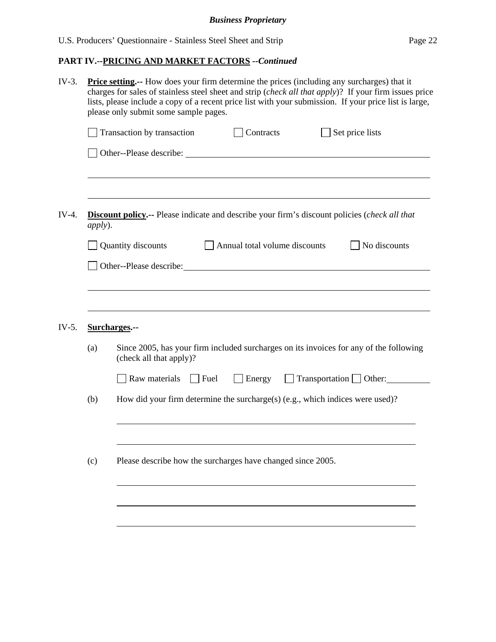| apply). | Contracts<br>Set price lists<br>Transaction by transaction                                                        |
|---------|-------------------------------------------------------------------------------------------------------------------|
|         |                                                                                                                   |
|         |                                                                                                                   |
|         | <b>Discount policy.</b> -- Please indicate and describe your firm's discount policies (check all that             |
|         | Quantity discounts<br>Annual total volume discounts<br>No discounts                                               |
|         | Other--Please describe:                                                                                           |
|         |                                                                                                                   |
|         |                                                                                                                   |
|         |                                                                                                                   |
|         | Surcharges.--                                                                                                     |
| (a)     | Since 2005, has your firm included surcharges on its invoices for any of the following<br>(check all that apply)? |
|         | Raw materials<br>Transportation Other:<br>$\Box$ Fuel<br>Energy                                                   |
| (b)     | How did your firm determine the surcharge(s) (e.g., which indices were used)?                                     |
| (c)     | Please describe how the surcharges have changed since 2005.                                                       |
|         |                                                                                                                   |
|         |                                                                                                                   |
|         |                                                                                                                   |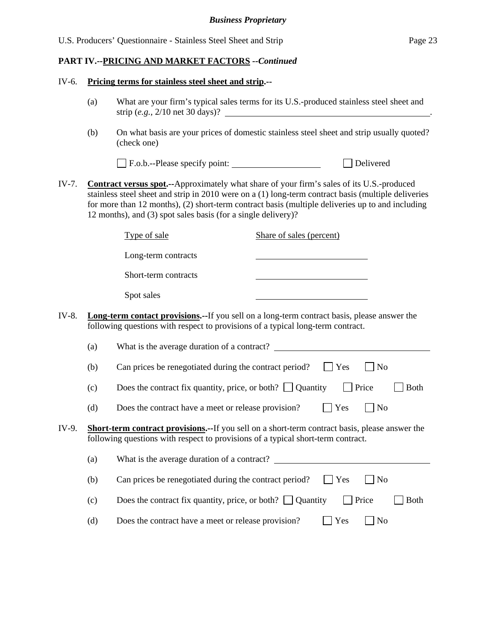#### IV-6. **Pricing terms for stainless steel sheet and strip.--**

- (a) What are your firm's typical sales terms for its U.S.-produced stainless steel sheet and strip (*e.g.*, 2/10 net 30 days)?
- (b) On what basis are your prices of domestic stainless steel sheet and strip usually quoted? (check one)

F.o.b.--Please specify point: Delivered

IV-7. **Contract versus spot.--**Approximately what share of your firm's sales of its U.S.-produced stainless steel sheet and strip in 2010 were on a (1) long-term contract basis (multiple deliveries for more than 12 months), (2) short-term contract basis (multiple deliveries up to and including 12 months), and (3) spot sales basis (for a single delivery)?

|       |     | Type of sale                                                                     | Share of sales (percent)                                                                               |
|-------|-----|----------------------------------------------------------------------------------|--------------------------------------------------------------------------------------------------------|
|       |     | Long-term contracts                                                              |                                                                                                        |
|       |     | Short-term contracts                                                             |                                                                                                        |
|       |     | Spot sales                                                                       |                                                                                                        |
| IV-8. |     | following questions with respect to provisions of a typical long-term contract.  | <b>Long-term contact provisions.</b> --If you sell on a long-term contract basis, please answer the    |
|       | (a) | What is the average duration of a contract?                                      |                                                                                                        |
|       | (b) | Can prices be renegotiated during the contract period?                           | Yes<br>N <sub>o</sub>                                                                                  |
|       | (c) | Does the contract fix quantity, price, or both? $\Box$ Quantity                  | $ $ Price<br><b>Both</b>                                                                               |
|       | (d) | Does the contract have a meet or release provision?                              | Yes<br>N <sub>o</sub>                                                                                  |
| IV-9. |     | following questions with respect to provisions of a typical short-term contract. | <b>Short-term contract provisions.--</b> If you sell on a short-term contract basis, please answer the |
|       | (a) |                                                                                  | What is the average duration of a contract?                                                            |
|       | (b) | Can prices be renegotiated during the contract period?                           | Yes<br>N <sub>o</sub>                                                                                  |
|       | (c) | Does the contract fix quantity, price, or both? $\Box$ Quantity                  | Price<br><b>Both</b>                                                                                   |
|       | (d) | Does the contract have a meet or release provision?                              | Yes<br>No                                                                                              |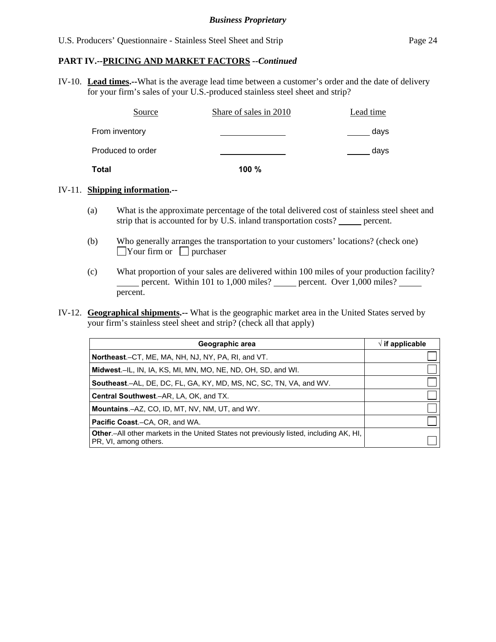IV-10. **Lead times.--**What is the average lead time between a customer's order and the date of delivery for your firm's sales of your U.S.-produced stainless steel sheet and strip?

| Source            | Share of sales in 2010 | Lead time |
|-------------------|------------------------|-----------|
| From inventory    |                        | days      |
| Produced to order |                        | days      |
| Total             | 100%                   |           |

#### IV-11. **Shipping information.--**

- (a) What is the approximate percentage of the total delivered cost of stainless steel sheet and strip that is accounted for by U.S. inland transportation costs? \_\_\_\_\_\_ percent.
- (b) Who generally arranges the transportation to your customers' locations? (check one)  $\Box$ Your firm or  $\Box$  purchaser
- (c) What proportion of your sales are delivered within 100 miles of your production facility? percent. Within 101 to  $1,000$  miles? percent. Over  $1,000$  miles? percent.
- IV-12. **Geographical shipments.--** What is the geographic market area in the United States served by your firm's stainless steel sheet and strip? (check all that apply)

| Geographic area                                                                                                         | $\sqrt{ }$ if applicable |
|-------------------------------------------------------------------------------------------------------------------------|--------------------------|
| <b>Northeast.</b> –CT, ME, MA, NH, NJ, NY, PA, RI, and VT.                                                              |                          |
| Midwest.-IL, IN, IA, KS, MI, MN, MO, NE, ND, OH, SD, and WI.                                                            |                          |
| <b>Southeast.–AL, DE, DC, FL, GA, KY, MD, MS, NC, SC, TN, VA, and WV.</b>                                               |                          |
| <b>Central Southwest.–AR, LA, OK, and TX.</b>                                                                           |                          |
| <b>Mountains.-AZ, CO, ID, MT, NV, NM, UT, and WY.</b>                                                                   |                          |
| <b>Pacific Coast.–CA, OR, and WA.</b>                                                                                   |                          |
| <b>Other</b> - All other markets in the United States not previously listed, including AK, HI,<br>PR, VI, among others. |                          |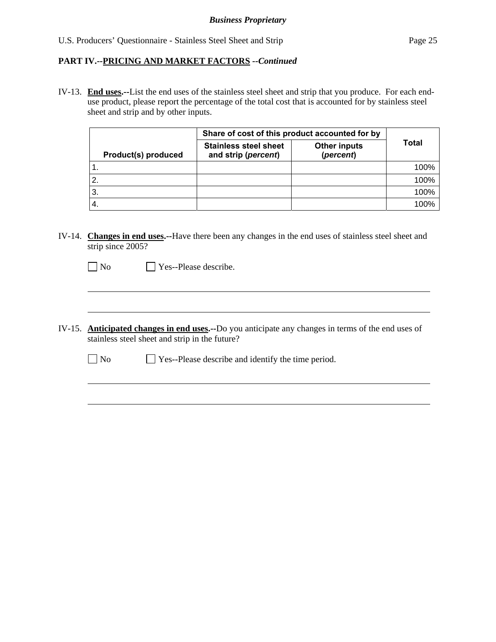IV-13. **End uses.--**List the end uses of the stainless steel sheet and strip that you produce. For each enduse product, please report the percentage of the total cost that is accounted for by stainless steel sheet and strip and by other inputs.

|                     | Share of cost of this product accounted for by      |                                  |       |
|---------------------|-----------------------------------------------------|----------------------------------|-------|
| Product(s) produced | <b>Stainless steel sheet</b><br>and strip (percent) | <b>Other inputs</b><br>(percent) | Total |
|                     |                                                     |                                  | 100%  |
|                     |                                                     |                                  | 100%  |
| -3.                 |                                                     |                                  | 100%  |
|                     |                                                     |                                  | 100%  |

IV-14. **Changes in end uses.--**Have there been any changes in the end uses of stainless steel sheet and strip since 2005?

 $\neg$  No  $\neg$  Yes--Please describe.

 $\overline{a}$ 

 $\overline{a}$ 

- IV-15. **Anticipated changes in end uses.--**Do you anticipate any changes in terms of the end uses of stainless steel sheet and strip in the future?
	- No Yes--Please describe and identify the time period.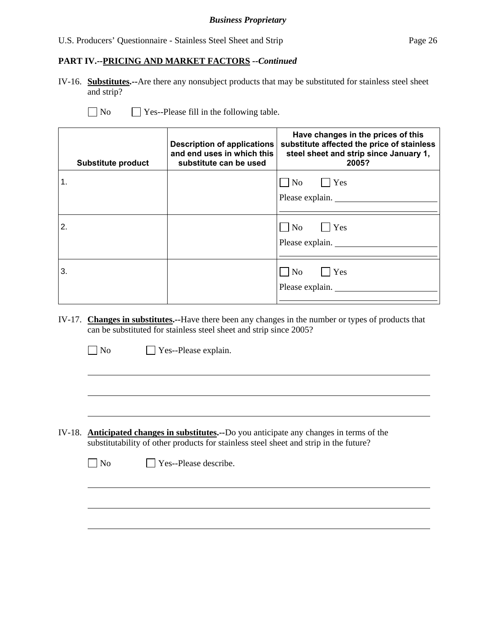# U.S. Producers' Questionnaire - Stainless Steel Sheet and Strip Page 26

## **PART IV.--PRICING AND MARKET FACTORS** *--Continued*

IV-16. **Substitutes.--**Are there any nonsubject products that may be substituted for stainless steel sheet and strip?

 $\overline{a}$ 

 $\overline{a}$ 

 $\Box$  Yes--Please fill in the following table.

| <b>Substitute product</b> | <b>Description of applications</b><br>and end uses in which this<br>substitute can be used | Have changes in the prices of this<br>substitute affected the price of stainless<br>steel sheet and strip since January 1,<br>2005? |
|---------------------------|--------------------------------------------------------------------------------------------|-------------------------------------------------------------------------------------------------------------------------------------|
| $\mathbf 1$ .             |                                                                                            | $\neg$ No $\neg$ Yes<br>Please explain.                                                                                             |
| 2.                        |                                                                                            | $\Box$ No $\Box$ Yes<br>Please explain.                                                                                             |
| 3.                        |                                                                                            | $\neg$ No $\neg$ Yes<br>Please explain.                                                                                             |

IV-17. **Changes in substitutes.--**Have there been any changes in the number or types of products that can be substituted for stainless steel sheet and strip since 2005?

| $\Box$ No | $\Box$ Yes--Please explain. |
|-----------|-----------------------------|

- IV-18. **Anticipated changes in substitutes.--**Do you anticipate any changes in terms of the substitutability of other products for stainless steel sheet and strip in the future?
	- No Pes--Please describe.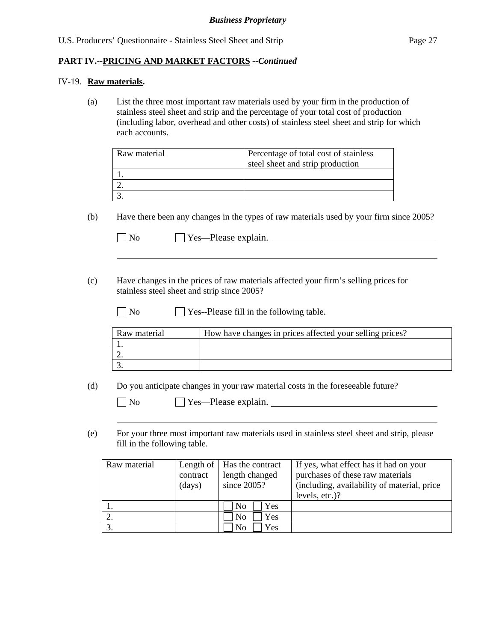#### IV-19. **Raw materials.**

 $\overline{a}$ 

 $\overline{a}$ 

(a) List the three most important raw materials used by your firm in the production of stainless steel sheet and strip and the percentage of your total cost of production (including labor, overhead and other costs) of stainless steel sheet and strip for which each accounts.

| Raw material | Percentage of total cost of stainless<br>steel sheet and strip production |
|--------------|---------------------------------------------------------------------------|
|              |                                                                           |
|              |                                                                           |
|              |                                                                           |

(b) Have there been any changes in the types of raw materials used by your firm since 2005?

| $\vert$ No | $\Box$ Yes—Please explain. |  |
|------------|----------------------------|--|
|            |                            |  |

- (c) Have changes in the prices of raw materials affected your firm's selling prices for stainless steel sheet and strip since 2005?
	- $\Box$  No  $\Box$  Yes--Please fill in the following table.

| Raw material | How have changes in prices affected your selling prices? |
|--------------|----------------------------------------------------------|
|              |                                                          |
|              |                                                          |
|              |                                                          |
|              |                                                          |

(d) Do you anticipate changes in your raw material costs in the foreseeable future?

| $\Box$ No | $\Box$ Yes—Please explain. |
|-----------|----------------------------|
|           |                            |

(e) For your three most important raw materials used in stainless steel sheet and strip, please fill in the following table.

| Raw material | contract<br>(days) | Length of   Has the contract<br>length changed<br>since $2005$ ? | If yes, what effect has it had on your<br>purchases of these raw materials<br>(including, availability of material, price<br>levels, etc.)? |
|--------------|--------------------|------------------------------------------------------------------|---------------------------------------------------------------------------------------------------------------------------------------------|
|              |                    | Yes<br>N <sub>0</sub>                                            |                                                                                                                                             |
|              |                    | Yes<br>No                                                        |                                                                                                                                             |
|              |                    | Yes<br>N <sub>0</sub>                                            |                                                                                                                                             |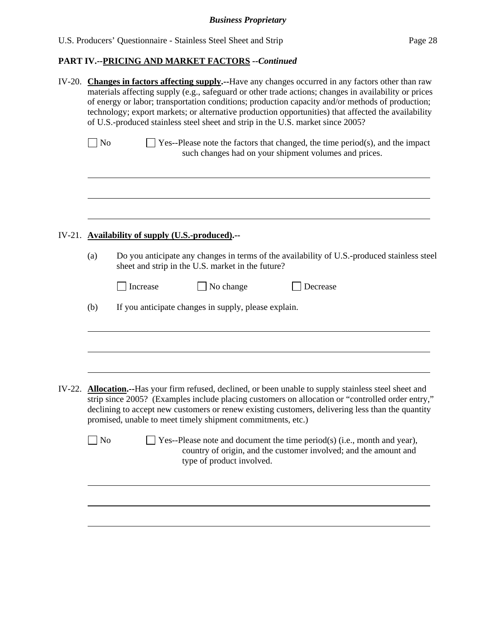| IV-20. Changes in factors affecting supply.--Have any changes occurred in any factors other than raw<br>materials affecting supply (e.g., safeguard or other trade actions; changes in availability or prices<br>of energy or labor; transportation conditions; production capacity and/or methods of production;<br>technology; export markets; or alternative production opportunities) that affected the availability<br>of U.S.-produced stainless steel sheet and strip in the U.S. market since 2005? |                                                                                                                                                                                                                                                                                                                                                                                        |  |  |  |
|-------------------------------------------------------------------------------------------------------------------------------------------------------------------------------------------------------------------------------------------------------------------------------------------------------------------------------------------------------------------------------------------------------------------------------------------------------------------------------------------------------------|----------------------------------------------------------------------------------------------------------------------------------------------------------------------------------------------------------------------------------------------------------------------------------------------------------------------------------------------------------------------------------------|--|--|--|
| No                                                                                                                                                                                                                                                                                                                                                                                                                                                                                                          | $\Box$ Yes--Please note the factors that changed, the time period(s), and the impact<br>such changes had on your shipment volumes and prices.                                                                                                                                                                                                                                          |  |  |  |
|                                                                                                                                                                                                                                                                                                                                                                                                                                                                                                             | IV-21. Availability of supply (U.S.-produced).--                                                                                                                                                                                                                                                                                                                                       |  |  |  |
| (a)                                                                                                                                                                                                                                                                                                                                                                                                                                                                                                         | Do you anticipate any changes in terms of the availability of U.S.-produced stainless steel                                                                                                                                                                                                                                                                                            |  |  |  |
|                                                                                                                                                                                                                                                                                                                                                                                                                                                                                                             | sheet and strip in the U.S. market in the future?                                                                                                                                                                                                                                                                                                                                      |  |  |  |
|                                                                                                                                                                                                                                                                                                                                                                                                                                                                                                             | No change<br>Increase<br>Decrease                                                                                                                                                                                                                                                                                                                                                      |  |  |  |
| (b)                                                                                                                                                                                                                                                                                                                                                                                                                                                                                                         | If you anticipate changes in supply, please explain.                                                                                                                                                                                                                                                                                                                                   |  |  |  |
|                                                                                                                                                                                                                                                                                                                                                                                                                                                                                                             |                                                                                                                                                                                                                                                                                                                                                                                        |  |  |  |
|                                                                                                                                                                                                                                                                                                                                                                                                                                                                                                             | IV-22. <b>Allocation.</b> --Has your firm refused, declined, or been unable to supply stainless steel sheet and<br>strip since 2005? (Examples include placing customers on allocation or "controlled order entry,"<br>declining to accept new customers or renew existing customers, delivering less than the quantity<br>promised, unable to meet timely shipment commitments, etc.) |  |  |  |
| $\rm No$                                                                                                                                                                                                                                                                                                                                                                                                                                                                                                    | Yes--Please note and document the time period(s) (i.e., month and year),<br>country of origin, and the customer involved; and the amount and<br>type of product involved.                                                                                                                                                                                                              |  |  |  |
|                                                                                                                                                                                                                                                                                                                                                                                                                                                                                                             |                                                                                                                                                                                                                                                                                                                                                                                        |  |  |  |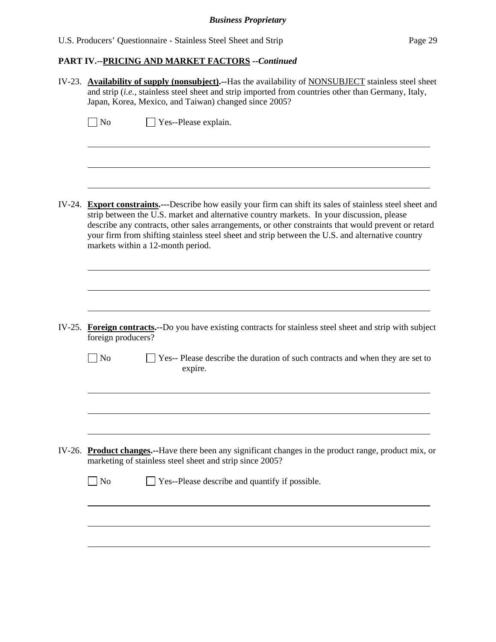# *Business Proprietary*

|        | IV-23. Availability of supply (nonsubject).--Has the availability of NONSUBJECT stainless steel sheet<br>and strip (i.e., stainless steel sheet and strip imported from countries other than Germany, Italy,<br>Japan, Korea, Mexico, and Taiwan) changed since 2005?                                                                     |  |  |  |  |
|--------|-------------------------------------------------------------------------------------------------------------------------------------------------------------------------------------------------------------------------------------------------------------------------------------------------------------------------------------------|--|--|--|--|
|        | $\log$<br>Yes--Please explain.                                                                                                                                                                                                                                                                                                            |  |  |  |  |
| IV-24. | <b>Export constraints.</b> ---Describe how easily your firm can shift its sales of stainless steel sheet and                                                                                                                                                                                                                              |  |  |  |  |
|        | strip between the U.S. market and alternative country markets. In your discussion, please<br>describe any contracts, other sales arrangements, or other constraints that would prevent or retard<br>your firm from shifting stainless steel sheet and strip between the U.S. and alternative country<br>markets within a 12-month period. |  |  |  |  |
|        |                                                                                                                                                                                                                                                                                                                                           |  |  |  |  |
|        | IV-25. Foreign contracts.--Do you have existing contracts for stainless steel sheet and strip with subject<br>foreign producers?                                                                                                                                                                                                          |  |  |  |  |
|        | $\Box$ No<br>Yes-- Please describe the duration of such contracts and when they are set to<br>expire.                                                                                                                                                                                                                                     |  |  |  |  |
|        |                                                                                                                                                                                                                                                                                                                                           |  |  |  |  |
|        | IV-26. Product changes.--Have there been any significant changes in the product range, product mix, or<br>marketing of stainless steel sheet and strip since 2005?                                                                                                                                                                        |  |  |  |  |
|        | $\Box$ No<br>Yes--Please describe and quantify if possible.                                                                                                                                                                                                                                                                               |  |  |  |  |
|        |                                                                                                                                                                                                                                                                                                                                           |  |  |  |  |
|        |                                                                                                                                                                                                                                                                                                                                           |  |  |  |  |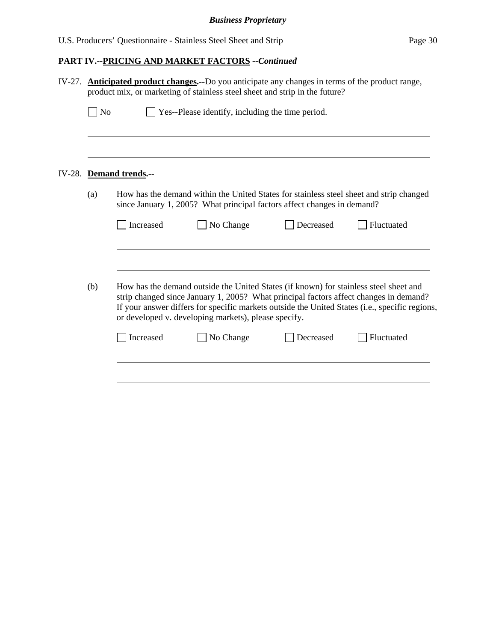| IV-27. | <b>Anticipated product changes.</b> --Do you anticipate any changes in terms of the product range,<br>product mix, or marketing of stainless steel sheet and strip in the future? |           |                                                                                                                                               |           |                                                                                                                                                                                         |  |
|--------|-----------------------------------------------------------------------------------------------------------------------------------------------------------------------------------|-----------|-----------------------------------------------------------------------------------------------------------------------------------------------|-----------|-----------------------------------------------------------------------------------------------------------------------------------------------------------------------------------------|--|
|        | $ $ No                                                                                                                                                                            |           | Yes--Please identify, including the time period.                                                                                              |           |                                                                                                                                                                                         |  |
| IV-28. | <b>Demand trends.--</b>                                                                                                                                                           |           |                                                                                                                                               |           |                                                                                                                                                                                         |  |
|        | (a)                                                                                                                                                                               |           | since January 1, 2005? What principal factors affect changes in demand?                                                                       |           | How has the demand within the United States for stainless steel sheet and strip changed                                                                                                 |  |
|        |                                                                                                                                                                                   | Increased | No Change                                                                                                                                     | Decreased | Fluctuated                                                                                                                                                                              |  |
|        | (b)                                                                                                                                                                               |           | How has the demand outside the United States (if known) for stainless steel sheet and<br>or developed v. developing markets), please specify. |           | strip changed since January 1, 2005? What principal factors affect changes in demand?<br>If your answer differs for specific markets outside the United States (i.e., specific regions, |  |
|        |                                                                                                                                                                                   | Increased | No Change                                                                                                                                     | Decreased | Fluctuated                                                                                                                                                                              |  |
|        |                                                                                                                                                                                   |           |                                                                                                                                               |           |                                                                                                                                                                                         |  |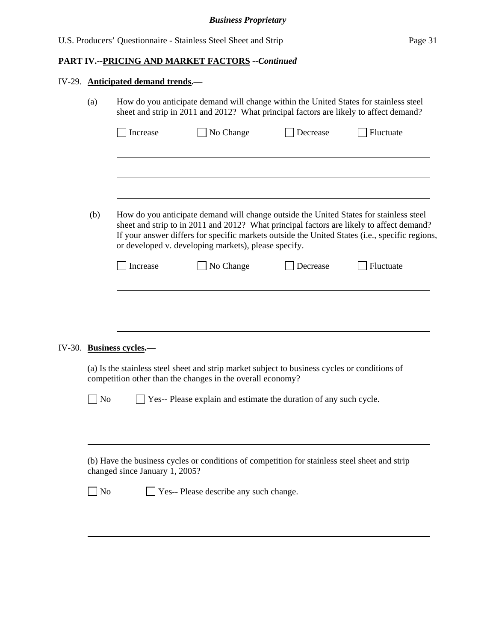|  | IV-29. Anticipated demand trends.-                                                                                                                                                                                                                 |                          |                                                                                                                                                                                |          |                                                                                                                                                                                            |  |
|--|----------------------------------------------------------------------------------------------------------------------------------------------------------------------------------------------------------------------------------------------------|--------------------------|--------------------------------------------------------------------------------------------------------------------------------------------------------------------------------|----------|--------------------------------------------------------------------------------------------------------------------------------------------------------------------------------------------|--|
|  | (a)                                                                                                                                                                                                                                                |                          | How do you anticipate demand will change within the United States for stainless steel<br>sheet and strip in 2011 and 2012? What principal factors are likely to affect demand? |          |                                                                                                                                                                                            |  |
|  |                                                                                                                                                                                                                                                    | Increase                 | No Change                                                                                                                                                                      | Decrease | Fluctuate                                                                                                                                                                                  |  |
|  |                                                                                                                                                                                                                                                    |                          |                                                                                                                                                                                |          |                                                                                                                                                                                            |  |
|  |                                                                                                                                                                                                                                                    |                          |                                                                                                                                                                                |          |                                                                                                                                                                                            |  |
|  | (b)                                                                                                                                                                                                                                                |                          | How do you anticipate demand will change outside the United States for stainless steel<br>or developed v. developing markets), please specify.                                 |          | sheet and strip to in 2011 and 2012? What principal factors are likely to affect demand?<br>If your answer differs for specific markets outside the United States (i.e., specific regions, |  |
|  |                                                                                                                                                                                                                                                    | Increase                 | No Change                                                                                                                                                                      | Decrease | Fluctuate                                                                                                                                                                                  |  |
|  |                                                                                                                                                                                                                                                    |                          |                                                                                                                                                                                |          |                                                                                                                                                                                            |  |
|  |                                                                                                                                                                                                                                                    |                          |                                                                                                                                                                                |          |                                                                                                                                                                                            |  |
|  |                                                                                                                                                                                                                                                    | IV-30. Business cycles.- |                                                                                                                                                                                |          |                                                                                                                                                                                            |  |
|  | (a) Is the stainless steel sheet and strip market subject to business cycles or conditions of<br>competition other than the changes in the overall economy?<br>Yes-- Please explain and estimate the duration of any such cycle.<br>N <sub>o</sub> |                          |                                                                                                                                                                                |          |                                                                                                                                                                                            |  |
|  |                                                                                                                                                                                                                                                    |                          |                                                                                                                                                                                |          |                                                                                                                                                                                            |  |
|  |                                                                                                                                                                                                                                                    |                          |                                                                                                                                                                                |          |                                                                                                                                                                                            |  |
|  | (b) Have the business cycles or conditions of competition for stainless steel sheet and strip                                                                                                                                                      |                          |                                                                                                                                                                                |          |                                                                                                                                                                                            |  |
|  | $\sqrt{\phantom{a}}$ No<br>Yes-- Please describe any such change.                                                                                                                                                                                  |                          |                                                                                                                                                                                |          |                                                                                                                                                                                            |  |
|  |                                                                                                                                                                                                                                                    |                          |                                                                                                                                                                                |          |                                                                                                                                                                                            |  |
|  |                                                                                                                                                                                                                                                    |                          |                                                                                                                                                                                |          |                                                                                                                                                                                            |  |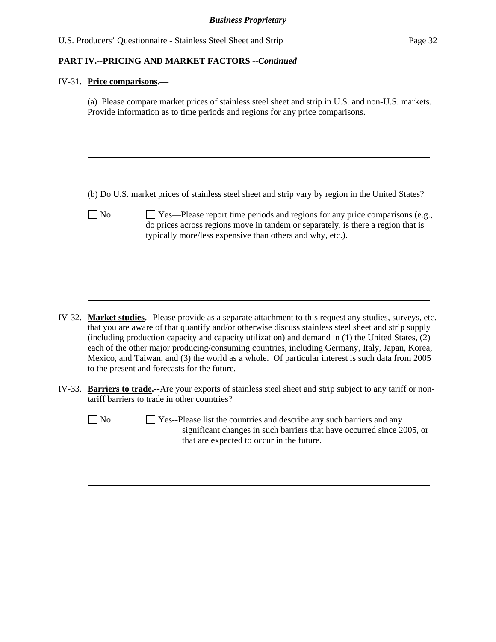# IV-31. **Price comparisons.—**

|        |                | (b) Do U.S. market prices of stainless steel sheet and strip vary by region in the United States?                                                                                                                                                                                                                                                      |
|--------|----------------|--------------------------------------------------------------------------------------------------------------------------------------------------------------------------------------------------------------------------------------------------------------------------------------------------------------------------------------------------------|
|        | N <sub>o</sub> | $\Box$ Yes—Please report time periods and regions for any price comparisons (e.g.,<br>do prices across regions move in tandem or separately, is there a region that is<br>typically more/less expensive than others and why, etc.).                                                                                                                    |
|        |                |                                                                                                                                                                                                                                                                                                                                                        |
|        |                |                                                                                                                                                                                                                                                                                                                                                        |
|        |                | <b>Market studies.</b> --Please provide as a separate attachment to this request any studies, surveys, etc.<br>that you are aware of that quantify and/or otherwise discuss stainless steel sheet and strip supply                                                                                                                                     |
| IV-32. |                | (including production capacity and capacity utilization) and demand in (1) the United States, (2)<br>each of the other major producing/consuming countries, including Germany, Italy, Japan, Korea,<br>Mexico, and Taiwan, and (3) the world as a whole. Of particular interest is such data from 2005<br>to the present and forecasts for the future. |
| IV-33. |                | <b>Barriers to trade.--</b> Are your exports of stainless steel sheet and strip subject to any tariff or non-<br>tariff barriers to trade in other countries?                                                                                                                                                                                          |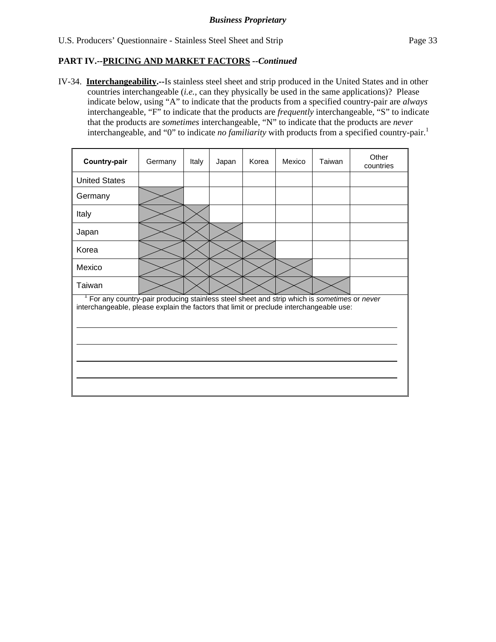IV-34. **Interchangeability.--**Is stainless steel sheet and strip produced in the United States and in other countries interchangeable (*i.e.*, can they physically be used in the same applications)? Please indicate below, using "A" to indicate that the products from a specified country-pair are *always* interchangeable, "F" to indicate that the products are *frequently* interchangeable, "S" to indicate that the products are *sometimes* interchangeable, "N" to indicate that the products are *never* interchangeable, and "0" to indicate *no familiarity* with products from a specified country-pair.<sup>1</sup>

| Country-pair                                                                                                                                                                          | Germany | Italy | Japan | Korea | Mexico | Taiwan | Other<br>countries |  |
|---------------------------------------------------------------------------------------------------------------------------------------------------------------------------------------|---------|-------|-------|-------|--------|--------|--------------------|--|
| <b>United States</b>                                                                                                                                                                  |         |       |       |       |        |        |                    |  |
| Germany                                                                                                                                                                               |         |       |       |       |        |        |                    |  |
| Italy                                                                                                                                                                                 |         |       |       |       |        |        |                    |  |
| Japan                                                                                                                                                                                 |         |       |       |       |        |        |                    |  |
| Korea                                                                                                                                                                                 |         |       |       |       |        |        |                    |  |
| Mexico                                                                                                                                                                                |         |       |       |       |        |        |                    |  |
| Taiwan                                                                                                                                                                                |         |       |       |       |        |        |                    |  |
| For any country-pair producing stainless steel sheet and strip which is sometimes or never<br>interchangeable, please explain the factors that limit or preclude interchangeable use: |         |       |       |       |        |        |                    |  |
|                                                                                                                                                                                       |         |       |       |       |        |        |                    |  |